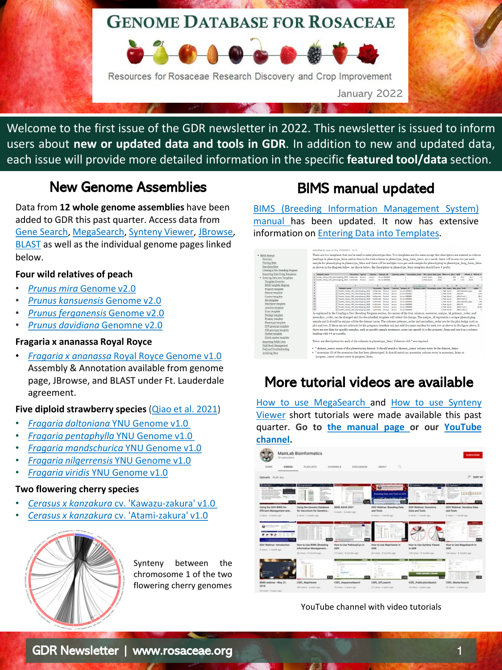# **GENOME DATABASE FOR ROSACEAE**



Welcome to the first issue of the GDR newsletter in 2022. This newsletter is issued to inform users about **new or updated data and tools in GDR**. In addition to new and updated data, each issue will provide more detailed information in the specific **featured tool/data** section.

# New Genome Assemblies

Data from **12 whole genome assemblies** have been added to GDR this past quarter. Access data from [Gene Search](https://www.rosaceae.org/search/genes), [MegaSearch,](https://www.rosaceae.org/tripal_megasearch) [Synteny Viewer](https://www.rosaceae.org/synview/search), [JBrowse,](https://www.rosaceae.org/tools/jbrowse) [BLAST](https://www.rosaceae.org/blast) as well as the individual genome pages linked below.

### **Four wild relatives of peach**

- *Prunus mira* [Genome v2.0](https://www.rosaceae.org/Analysis/12080707)
- *[Prunus kansuensis](https://www.rosaceae.org/Analysis/12080706)* Genome v2.0
- *[Prunus ferganensis](https://www.rosaceae.org/Analysis/12080705)* Genome v2.0
- *[Prunus davidiana](https://www.rosaceae.org/Analysis/11857924)* Genomne v2.0

### **Fragaria x ananassa Royal Royce**

• *Fragaria x ananassa* [Royal Royce Genome v1.0](https://www.rosaceae.org/Analysis/12335030) Assembly & Annotation available from genome page, JBrowse, and BLAST under Ft. Lauderdale agreement.

### **Five diploid strawberry species** (Qiao [et al. 2021\)](https://www.rosaceae.org/bio_data/12335044)

- *[Fragaria daltoniana](https://www.rosaceae.org/Analysis/11885161)* YNU Genome v1.0
- *[Fragaria pentaphylla](https://www.rosaceae.org/Analysis/12137892)* YNU Genome v1.0
- *[Fragaria mandschurica](https://www.rosaceae.org/Analysis/12137893)* YNU Genome v1.0
- *[Fragaria nilgerrensis](https://www.rosaceae.org/Analysis/12137894)* YNU Genome v1.0
- *Fragaria viridis* [YNU Genome v1.0](https://www.rosaceae.org/Analysis/12137895)

### **Two flowering cherry species**

- *Cerasus x kanzakura* [cv. 'Kawazu-zakura' v1.0](https://www.rosaceae.org/Analysis/12335072)
- *Cerasus x kanzakura* [cv. 'Atami-zakura' v1.0](https://www.rosaceae.org/Analysis/12335071)



Synteny between the chromosome 1 of the two flowering cherry genomes

# BIMS manual updated

BIMS (Breeding Information [Management](https://www.breedwithbims.org/manual) System) manual has been updated. It now has extensive information on Entering Data into [Templates](https://www.breedwithbims.org/node/25).

|                                       | Submitted by sock on Thu 12/30/2021 - 12:12                                                                                                  |                                                                      |                   |                                   |                         |                                    |                          |                                                                       |                              |              |                                                            |            |                               |                          |
|---------------------------------------|----------------------------------------------------------------------------------------------------------------------------------------------|----------------------------------------------------------------------|-------------------|-----------------------------------|-------------------------|------------------------------------|--------------------------|-----------------------------------------------------------------------|------------------------------|--------------|------------------------------------------------------------|------------|-------------------------------|--------------------------|
| - BIMS Manual                         | There are two templates that can be used to enter phenotype data. Two templates are the same except that descriptors are entered as column   |                                                                      |                   |                                   |                         |                                    |                          |                                                                       |                              |              |                                                            |            |                               |                          |
| Overview                              | headings in phenotype_bims and as data in the trait column in phenotype_long_form_bims. As a result, there will be one row per each          |                                                                      |                   |                                   |                         |                                    |                          |                                                                       |                              |              |                                                            |            |                               |                          |
| Viewing Data                          | sample for phenotyping in phenotype_bims and there will be multiple rows per each sample for phenotyping in phenotype_long_form_bims         |                                                                      |                   |                                   |                         |                                    |                          |                                                                       |                              |              |                                                            |            |                               |                          |
| Searching Data                        |                                                                                                                                              |                                                                      |                   |                                   |                         |                                    |                          |                                                                       |                              |              |                                                            |            |                               |                          |
| Creating a New Breeding Program       | as shown in the diagram below. As shown below, the descriptors in phenotype_bims template should have # prefix.                              |                                                                      |                   |                                   |                         |                                    |                          |                                                                       |                              |              |                                                            |            |                               |                          |
|                                       |                                                                                                                                              |                                                                      |                   |                                   |                         |                                    |                          |                                                                       |                              |              |                                                            |            |                               |                          |
| <b>Importing Data Using Templates</b> | 1 Pdataset name                                                                                                                              |                                                                      | "Accession "genus |                                   | *species                | Punksue 1d                         |                          | "grimary order "secondary order site name data year #Harvest Davx #aH |                              |              |                                                            |            |                               | <b>STrait L STiesh C</b> |
| - Entering Data into Templates        | 2 Sweet cherry CRS phenotyping 2010 Arabrunes Prunus<br>3 Savet cherry CRS phenotyping 2010 Cashmene Prunus                                  |                                                                      |                   |                                   | <b>ANGERS</b><br>Avkans | thurse concom<br>rb-sa-0000002     |                          |                                                                       | 1 Bear Arres<br>1 Pear Arres | 2010<br>2010 |                                                            | 204<br>126 | 22.3<br>4.02<br>1.91<br>22.66 | 1.2                      |
| Template Overview                     |                                                                                                                                              |                                                                      |                   |                                   |                         |                                    |                          |                                                                       |                              |              |                                                            |            |                               |                          |
| <b>BIMS</b> template diagram          |                                                                                                                                              |                                                                      |                   |                                   |                         |                                    |                          |                                                                       |                              |              |                                                            |            |                               | W                        |
| Property template                     |                                                                                                                                              | <b>Naturet name</b>                                                  |                   |                                   |                         | "accession "genus"                 |                          | "species "unique id                                                   |                              |              | "primary order "secondary order site name data year "trait |            |                               | value                    |
| Dataset template                      |                                                                                                                                              | Sweet cherry CRS phenotyping 2018                                    |                   | Sweet cherry CRS phenotyping 2018 |                         | Ambrunes Prunus                    | and um                   | rb-su-accomo<br>rb-ray-8000000                                        |                              |              | 1 Pear Actes                                               | 2010 Ph    | 2010 Harvest, Days            | 204<br>4.02              |
| Contact template                      | ٠                                                                                                                                            | Sweet chemy CRS phenotyping 2018                                     |                   |                                   |                         | Ambrunes Prunus<br>Ambrunes Prones | evium<br>autors.         | ch-say accordo                                                        |                              |              | 1 Pear Acres<br>1 Pear Arres                               |            | 2010 Fruit L                  | 22.5                     |
| Site template                         | to                                                                                                                                           | Suret cherry CRS phenotyping 2018                                    |                   |                                   |                         | <b>Ambrunes</b> Prunus             | <b>avium</b>             | rb-ray-0000000                                                        |                              |              | 1 Pear Acres                                               |            | 2010 Flesh C                  | 1.2                      |
|                                       | $\mathbf{H}$                                                                                                                                 | Sweet chemy CRS phenotyping 2018                                     |                   |                                   |                         | Ceshmere Prunus                    | <b>ANGER</b>             | rb-rm-0000002                                                         |                              |              | 1 Pear Acres                                               |            | 2010 Harvest, Days            | 176                      |
| Descriptor template                   | 12<br>13                                                                                                                                     | Sweet.chemy.CRS.phenotyping.2018<br>Sweet chemy CRS phenotyping 2018 |                   |                                   |                         | Cashmere Prunus<br>Cenhmere Prunus | avkan.                   | ch-su-accords<br>rb-ray-8000002                                       |                              |              | 1 Pear Arres                                               | 2010/09    | 2010 Fruit L.                 | 3.33<br>22.66            |
| Acession template                     | м                                                                                                                                            | 9. Sweet chemy CRS phenotyping 2010 Cashmere Prunus                  |                   |                                   |                         |                                    | avium.<br><b>Jackson</b> | chuses accompt                                                        |                              |              | 1 Pear Arres<br>1 Pear Acres                               |            | 2010 Flesh C                  | -5                       |
| Cross template                        | As explained in the Creating a New Breeding Program section, the names of the four columns, accession, unique id, primary order, and         |                                                                      |                   |                                   |                         |                                    |                          |                                                                       |                              |              |                                                            |            |                               |                          |
| Package template                      |                                                                                                                                              |                                                                      |                   |                                   |                         |                                    |                          |                                                                       |                              |              |                                                            |            |                               |                          |
| Progeny template                      | secondary_order, can be changed and the downloaded template will reflect the change. The unique_id represents a unique phenotyping           |                                                                      |                   |                                   |                         |                                    |                          |                                                                       |                              |              |                                                            |            |                               |                          |
| Phenotype template                    | sample and it should be unique within the dataset name. The columns primary_order and secondary_order are for the plot design such as        |                                                                      |                   |                                   |                         |                                    |                          |                                                                       |                              |              |                                                            |            |                               |                          |
| SNP genotype template                 | plot and row. If those are not relevant for the program, breeders can just add the same number for each row as shown in the figure above. If |                                                                      |                   |                                   |                         |                                    |                          |                                                                       |                              |              |                                                            |            |                               |                          |
| SSR genotype template                 | there are any data for specific samples, such as specific sample treatment, users can specify it in the property_bims and use it as a column |                                                                      |                   |                                   |                         |                                    |                          |                                                                       |                              |              |                                                            |            |                               |                          |
| Marker template                       | heading with ## as a prefix.                                                                                                                 |                                                                      |                   |                                   |                         |                                    |                          |                                                                       |                              |              |                                                            |            |                               |                          |
|                                       |                                                                                                                                              |                                                                      |                   |                                   |                         |                                    |                          |                                                                       |                              |              |                                                            |            |                               |                          |
| Match marker template                 |                                                                                                                                              |                                                                      |                   |                                   |                         |                                    |                          |                                                                       |                              |              |                                                            |            |                               |                          |
| <b>Importing Public Data</b>          | Below are descriptions for each of the columns in phenotype_bims. Columns with * are required.                                               |                                                                      |                   |                                   |                         |                                    |                          |                                                                       |                              |              |                                                            |            |                               |                          |
| Field Book Management                 |                                                                                                                                              |                                                                      |                   |                                   |                         |                                    |                          |                                                                       |                              |              |                                                            |            |                               |                          |
| FAO and Troubleshooting               | . * dataset_name: name of the phenotyping dataset. It should match a 'dataset_name' column entry in the dataset_bims.                        |                                                                      |                   |                                   |                         |                                    |                          |                                                                       |                              |              |                                                            |            |                               |                          |
| Archiving Data                        | ** accession: ID of the accession that has been phenotyped. It should match an 'accession' column entry in accession bims or                 |                                                                      |                   |                                   |                         |                                    |                          |                                                                       |                              |              |                                                            |            |                               |                          |
|                                       |                                                                                                                                              | 'nnosany, nama' eolamn antre in nnosany. Nime-                       |                   |                                   |                         |                                    |                          |                                                                       |                              |              |                                                            |            |                               |                          |

# More tutorial videos are available

How to use [MegaSearch](https://www.youtube.com/watch?v=t6Kl2z_dCqs&t=7s) and How to use Synteny Viewer short tutorials were made available this past quarter. **Go to the [manual](https://www.rosaceae.org/node/6989887) page or our [YouTube](https://www.youtube.com/channel/UC0S8SqxuMpfScejyE-VCtxA/videos) channel.**



YouTube channel with video tutorials